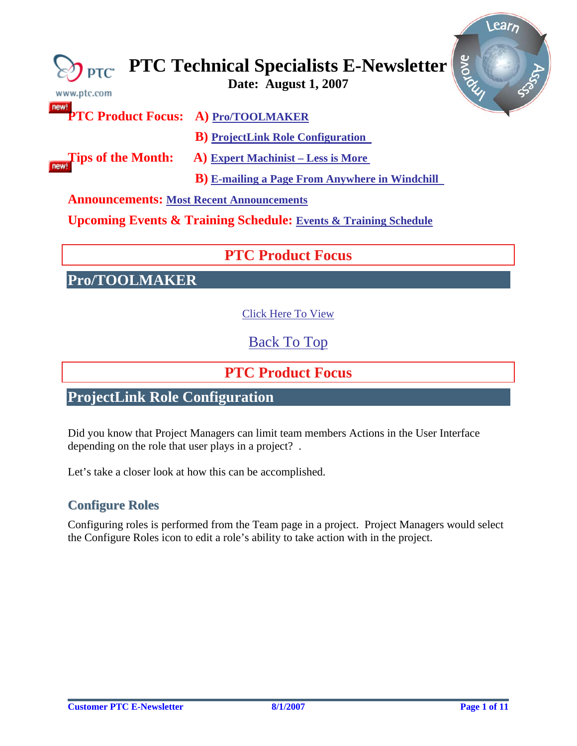<span id="page-0-0"></span>

## **PTC Product Focus**

**Pro/TOOLMAKER** 

[Click Here To View](http://members.shaw.ca/jpeng/newsletter/PTC_Technical_Specialists_E-Newsletter_08-01-2007_desktop.pdf)

[Back To Top](#page-0-0)

**PTC Product Focus** 

### **ProjectLink Role Configuration**

Did you know that Project Managers can limit team members Actions in the User Interface depending on the role that user plays in a project? .

Let's take a closer look at how this can be accomplished.

### **Configure Roles**

Configuring roles is performed from the Team page in a project. Project Managers would select the Configure Roles icon to edit a role's ability to take action with in the project.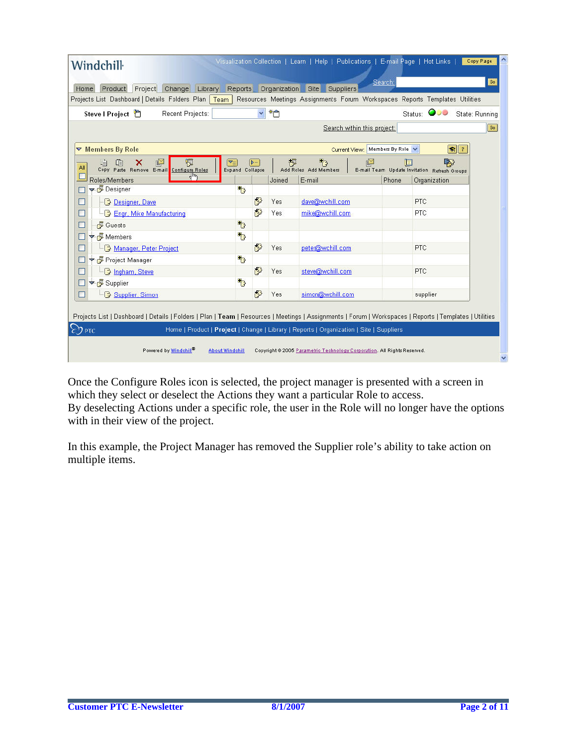| Steve   Project<br>Recent Projects:                                      |                                   |    | $\vee$ *0 |                             |                               | Status: OUU State: Running                         |    |
|--------------------------------------------------------------------------|-----------------------------------|----|-----------|-----------------------------|-------------------------------|----------------------------------------------------|----|
|                                                                          |                                   |    |           | Search within this project: |                               |                                                    | Go |
| $\nabla$ Members By Role                                                 |                                   |    |           |                             | Current View: Members By Role | $S1$ ?                                             |    |
| 恒<br>ľ<br>x<br>All<br>Copy Paste Remove E-mail<br><b>Configure Roles</b> | $\nabla_{\Xi}$<br>Expand Collapse | D. | 想         | Þ<br>Add Roles Add Members  |                               | Ŗ,<br>E-mail Team Update Invitation Refresh Groups |    |
| $q\mu$<br>Roles/Members                                                  |                                   |    | Joined    | E-mail                      | Phone                         | Organization                                       |    |
| $\blacktriangleright$ $\sqrt{5}$ Designer                                | 玉                                 |    |           |                             |                               |                                                    |    |
| Designer, Dave<br>۰                                                      |                                   | Ð  | Yes       | dave@wchill.com             |                               | <b>PTC</b>                                         |    |
| <b>B</b> Engr, Mike Manufacturing<br>×                                   |                                   | ß  | Yes       | mike@wchill.com             |                               | <b>PTC</b>                                         |    |
| <b>另</b> Guests<br>■                                                     | <sup>t</sup>                      |    |           |                             |                               |                                                    |    |
| <del>▼</del> Members                                                     | 玉                                 |    |           |                             |                               |                                                    |    |
| Manager, Peter Project                                                   |                                   | ß  | Yes       | peter@wchill.com            |                               | PTC                                                |    |
| → <i>D</i> Project Manager                                               | Þ                                 |    |           |                             |                               |                                                    |    |
| ngham, Steve                                                             |                                   | ß  | Yes       | steve@wchill.com            |                               | PTC                                                |    |
|                                                                          | Ъ                                 |    |           |                             |                               |                                                    |    |
| <b>← 另</b> Supplier                                                      |                                   |    |           | simon@wchill.com            |                               |                                                    |    |

Once the Configure Roles icon is selected, the project manager is presented with a screen in which they select or deselect the Actions they want a particular Role to access. By deselecting Actions under a specific role, the user in the Role will no longer have the options with in their view of the project.

In this example, the Project Manager has removed the Supplier role's ability to take action on multiple items.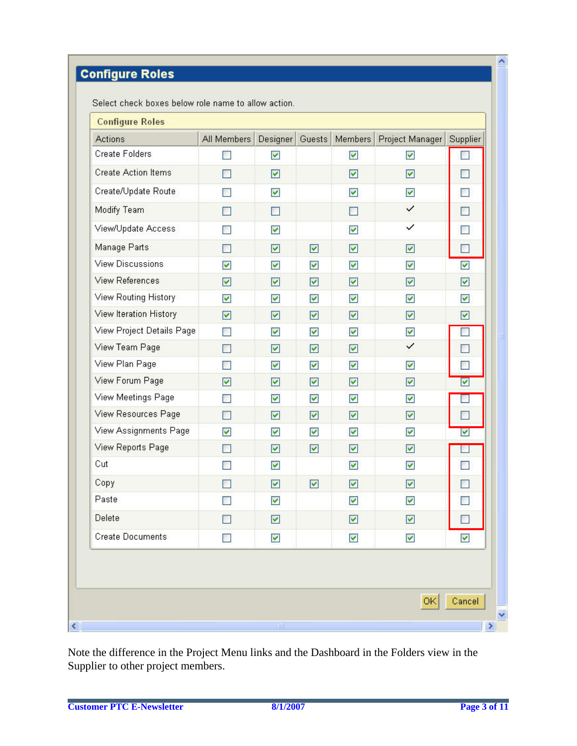# **Configure Roles**

Select check boxes below role name to allow action.

| <b>Actions</b>             | All Members          | Designer             | Guests                  | <b>Members</b>       | Project Manager         | Supplier             |
|----------------------------|----------------------|----------------------|-------------------------|----------------------|-------------------------|----------------------|
| Create Folders             |                      | ☑                    |                         | ☑                    | V                       |                      |
| <b>Create Action Items</b> | П                    | ☑                    |                         | ☑                    | $\overline{\mathbf{v}}$ | $\Box$               |
| Create/Update Route        | <b>COL</b>           | ☑                    |                         | ☑                    | $\blacktriangledown$    | П                    |
| Modify Team                | П                    | □                    |                         | П                    | $\checkmark$            | $\Box$               |
| View/Update Access         |                      | ☑                    |                         | ☑                    | $\checkmark$            | П                    |
| Manage Parts               | П                    | ☑                    | $\blacktriangledown$    | ☑                    | ⊻                       | □                    |
| View Discussions           | ⊻                    | ⊻                    | $\blacktriangledown$    | ⊽                    | ☑                       | Ø                    |
| <b>View References</b>     | ⊻                    | ☑                    | $\overline{\mathbf{v}}$ | ☑                    | $\triangledown$         | ☑                    |
| View Routing History       | M                    | ⊻                    | $\blacktriangledown$    | $\blacktriangledown$ | V                       | $\blacktriangledown$ |
| View Iteration History     | ☑                    | ☑                    | $\overline{\mathsf{v}}$ | ☑                    | V                       | ☑                    |
| View Project Details Page  | <b>STA</b>           | ☑                    | $\blacktriangledown$    | ▽                    | $\blacktriangledown$    |                      |
| View Team Page             | B                    | ☑                    | $\overline{\mathbf{v}}$ | ☑                    | $\checkmark$            | ×                    |
| View Plan Page             | <b>COL</b>           | $\blacktriangledown$ | $\blacktriangledown$    | ✔                    | M                       | $\blacksquare$       |
| View Forum Page            | ☑                    | ☑                    | $\blacktriangledown$    | ☑                    | ☑                       | ☑                    |
| View Meetings Page         | m                    | $\blacktriangledown$ | $\blacktriangledown$    | V                    | ☑                       |                      |
| View Resources Page        | $\Box$               | ☑                    | $\overline{\mathbf{v}}$ | ☑                    | $\triangledown$         |                      |
| View Assignments Page      | $\blacktriangledown$ | ⊻                    | $\blacktriangledown$    | $\blacktriangledown$ | V                       | M                    |
| View Reports Page          | П                    | ☑                    | $\overline{\mathbf{v}}$ | ☑                    | ☑                       |                      |
| Cut                        | P.                   | ☑                    |                         | ▽                    | ⊻                       | П                    |
| Copy                       | П                    | ☑                    | ☑                       | ☑                    | ☑                       | $\Box$               |
| Paste                      |                      | $\blacktriangledown$ |                         | ⊻                    | ☑                       | $\Box$               |
| Delete                     |                      | ☑                    |                         | ⊻                    | ☑                       |                      |
| <b>Create Documents</b>    |                      | ⊻                    |                         | ▽                    | ⊻                       | M                    |
|                            |                      |                      |                         |                      |                         |                      |
|                            |                      |                      |                         |                      | OK                      | Cancel               |

Note the difference in the Project Menu links and the Dashboard in the Folders view in the Supplier to other project members.

 $\hat{\mathcal{A}}$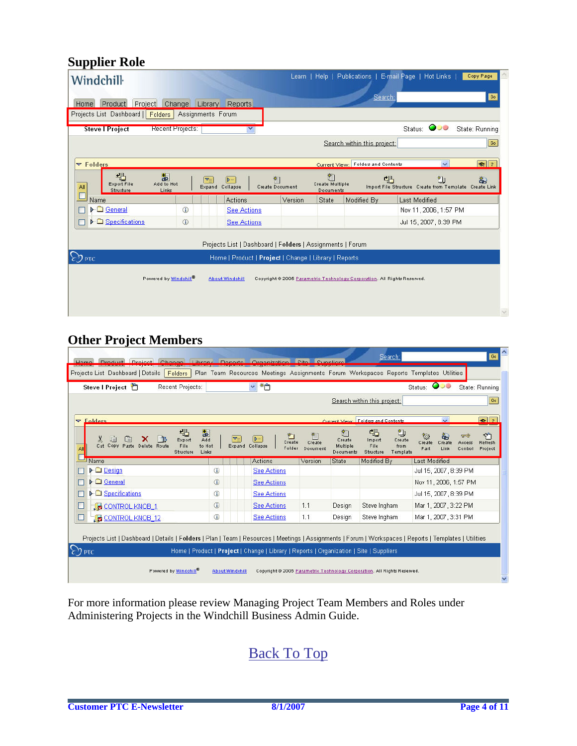### **Supplier Role**

| Windchill                                                                      |                                                                            |                                                                          |                                    | Learn   Help   Publications   E-mail Page   Hot Links  <br>Copy Page |
|--------------------------------------------------------------------------------|----------------------------------------------------------------------------|--------------------------------------------------------------------------|------------------------------------|----------------------------------------------------------------------|
| Project Change Library Reports<br>Home Product                                 |                                                                            |                                                                          | Search:                            | Go                                                                   |
| Projects List Dashboard   Folders                                              | Assignments Forum                                                          |                                                                          |                                    |                                                                      |
| <b>Steve   Project</b><br>Recent Projects:                                     |                                                                            |                                                                          |                                    | Status: OUO<br>State: Running                                        |
|                                                                                |                                                                            |                                                                          | Search within this project:        | Go                                                                   |
| $\nabla$ Folders                                                               |                                                                            |                                                                          | Current View; Folders and Contents | $\left  \bullet \right $ ?<br>$\checkmark$                           |
| 唱<br>围<br><b>Export File</b><br>Add to Hot<br>All<br><b>Structure</b><br>Links | 巻<br>  ⊿=<br>$\triangleright$<br>Expand Collapse<br><b>Create Document</b> | 渔<br><b>Create Multiple</b><br>Documents                                 | 唱                                  | 山<br>雟<br>Import File Structure Create from Template Create Link     |
| Name                                                                           | <b>Actions</b>                                                             | State<br>Version                                                         | Modified By                        | Last Modified                                                        |
| General<br>$\odot$<br>D                                                        | <b>See Actions</b>                                                         |                                                                          |                                    | Nov 11, 2006, 1:57 PM                                                |
| <b>I-C</b> Specifications<br>$\circ$                                           | <b>See Actions</b>                                                         |                                                                          |                                    | Jul 15, 2007, 8:39 PM                                                |
|                                                                                | Projects List   Dashboard   Folders   Assignments   Forum                  |                                                                          |                                    |                                                                      |
| $\sum$ pTC                                                                     | Home   Product   Project   Change   Library   Reports                      |                                                                          |                                    |                                                                      |
| Powered by Windchill®                                                          | About Windchill                                                            | Copyright @ 2005 Parametric Technology Corporation. All Rights Reserved. |                                    |                                                                      |
|                                                                                |                                                                            |                                                                          |                                    | $\mathcal{A}$                                                        |

### **Other Project Members**

| Steve I Project<br>Recent Projects:                                                                             |            |     | $\vee$ *                                     |                         |                                      | Search within this project:                                                                                                                             | Status: 000                            | State: Running<br>Go                                           |
|-----------------------------------------------------------------------------------------------------------------|------------|-----|----------------------------------------------|-------------------------|--------------------------------------|---------------------------------------------------------------------------------------------------------------------------------------------------------|----------------------------------------|----------------------------------------------------------------|
| $\nabla$ Eolders                                                                                                |            |     |                                              |                         |                                      | Current View: Folders and Contents                                                                                                                      | $\checkmark$                           | $\left  \cdot \right $ ?                                       |
| 塭<br>畵<br>唱<br>咱<br>Add<br>Export<br>Cut Copy Paste Delete Route<br>File<br>to Hot<br>All<br>Structure<br>Links |            | ∣≂≡ | $D -$<br>Create<br>Expand Collapse<br>Folder | 咨<br>Create<br>Document | 旝<br>Create<br>Multiple<br>Documents | 唈<br>山<br>Import<br>Create<br>File<br>from<br>Structure<br>Template                                                                                     | čь<br>Create<br>Create<br>Part<br>Link | পশ<br>$ \diamond$ )<br>Refresh<br>Access<br>Control<br>Project |
| Name                                                                                                            |            |     | <b>Actions</b>                               | Version                 | State                                | Modified By                                                                                                                                             | <b>Last Modified</b>                   |                                                                |
| $\blacktriangleright$ $\square$ Design                                                                          | $\bigcirc$ |     | <b>See Actions</b>                           |                         |                                      |                                                                                                                                                         | Jul 15, 2007, 8:39 PM                  |                                                                |
| $\blacktriangleright$ $\Box$ General                                                                            | $\odot$    |     | <b>See Actions</b>                           |                         |                                      |                                                                                                                                                         | Nov 11, 2006, 1:57 PM                  |                                                                |
| $\blacktriangleright$ $\Box$ Specifications<br>г                                                                | $\bigcirc$ |     | <b>See Actions</b>                           |                         |                                      |                                                                                                                                                         | Jul 15, 2007, 8:39 PM                  |                                                                |
| $\Box$<br><b>CONTROL KNOB 1</b>                                                                                 | $\omega$   |     | <b>See Actions</b>                           | 1.1                     | Design                               | Steve Ingham                                                                                                                                            | Mar 1, 2007, 3:22 PM                   |                                                                |
| □<br>CONTROL KNOB 12                                                                                            | $\bigcirc$ |     | <b>See Actions</b>                           | 1.1                     | Design                               | Steve Ingham                                                                                                                                            | Mar 1, 2007, 3:31 PM                   |                                                                |
|                                                                                                                 |            |     |                                              |                         |                                      | Projects List   Dashboard   Details   Folders   Plan   Team   Resources   Meetings   Assignments   Forum   Workspaces   Reports   Templates   Utilities |                                        |                                                                |

For more information please review Managing Project Team Members and Roles under Administering Projects in the Windchill Business Admin Guide.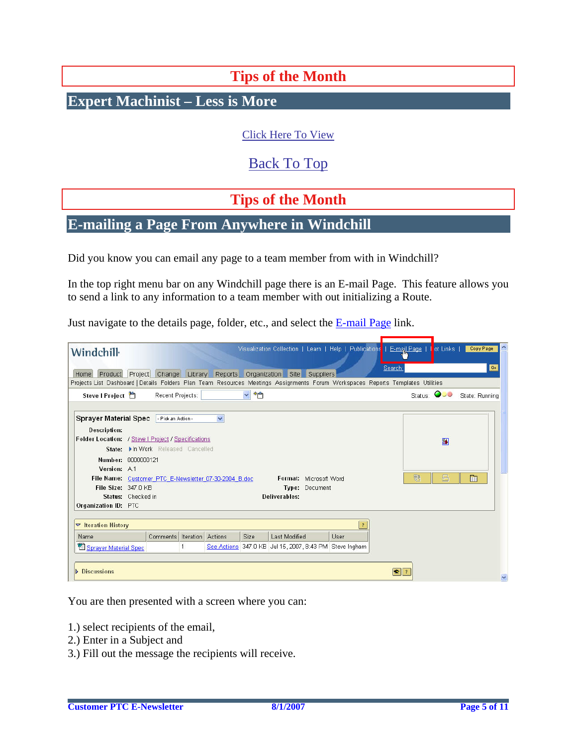# **Tips of the Month**

<span id="page-4-0"></span>**Expert Machinist – Less is More** 

[Click Here To View](http://members.shaw.ca/jpeng/newsletter/PTC_Technical_Specialists_E-Newsletter_08-01-2007_desktop.pdf)

[Back To Top](#page-0-0)

# **Tips of the Month**

### **E-mailing a Page From Anywhere in Windchill**

Did you know you can email any page to a team member from with in Windchill?

In the top right menu bar on any Windchill page there is an E-mail Page. This feature allows you to send a link to any information to a team member with out initializing a Route.

Just navigate to the details page, folder, etc., and select the E-mail Page link.

| Windchill                                                                  |                    |                                   |                                                       |             | Visualization Collection   Learn   Help   Publications   E-mail Page                                                            |                         |                            | lot Links          | Copy Page      |
|----------------------------------------------------------------------------|--------------------|-----------------------------------|-------------------------------------------------------|-------------|---------------------------------------------------------------------------------------------------------------------------------|-------------------------|----------------------------|--------------------|----------------|
|                                                                            |                    |                                   |                                                       |             |                                                                                                                                 |                         |                            |                    |                |
|                                                                            |                    |                                   |                                                       |             | Home Product Project Change Library Reports Organization Site Suppliers                                                         |                         | Search:                    |                    | Go             |
|                                                                            |                    |                                   |                                                       |             | Projects List Dashboard   Details Folders Plan Team Resources Meetings Assignments Forum Workspaces Reports Templates Utilities |                         |                            |                    |                |
| Steve I Project                                                            |                    | Recent Projects:                  |                                                       | v *0        |                                                                                                                                 |                         |                            | Status: <b>ODO</b> | State: Running |
|                                                                            |                    | - Pick an Action -                | $\checkmark$                                          |             |                                                                                                                                 |                         |                            |                    |                |
| <b>Sprayer Material Spec</b>                                               |                    |                                   |                                                       |             |                                                                                                                                 |                         |                            |                    |                |
| <b>Description:</b><br>Folder Location: / Steve   Project / Specifications |                    |                                   |                                                       |             |                                                                                                                                 |                         |                            |                    |                |
|                                                                            |                    | State: In Work Released Cancelled |                                                       |             |                                                                                                                                 |                         |                            | 图                  |                |
| Number: 0000000121                                                         |                    |                                   |                                                       |             |                                                                                                                                 |                         |                            |                    |                |
| Version: A1                                                                |                    |                                   |                                                       |             |                                                                                                                                 |                         |                            |                    |                |
|                                                                            |                    |                                   | File Name: Customer PTC_E-Newsletter_07-30-2004_B.doc |             | Format: Microsoft Word                                                                                                          |                         | 戰                          | 른                  | m              |
| File Size: 347.0 KB                                                        |                    |                                   |                                                       |             | Type: Document                                                                                                                  |                         |                            |                    |                |
|                                                                            | Status: Checked in |                                   |                                                       |             | <b>Deliverables:</b>                                                                                                            |                         |                            |                    |                |
| <b>Organization ID: PTC</b>                                                |                    |                                   |                                                       |             |                                                                                                                                 |                         |                            |                    |                |
|                                                                            |                    |                                   |                                                       |             |                                                                                                                                 |                         |                            |                    |                |
| $\triangledown$ Iteration History                                          |                    |                                   |                                                       |             |                                                                                                                                 | $\overline{\mathbf{r}}$ |                            |                    |                |
| Name                                                                       |                    | Comments Iteration Actions        |                                                       | <b>Size</b> | Last Modified                                                                                                                   | User                    |                            |                    |                |
| <b>ED</b> Sprayer Material Spec                                            |                    |                                   |                                                       |             | See Actions 347.0 KB Jul 15, 2007, 8:43 PM Steve Ingham                                                                         |                         |                            |                    |                |
|                                                                            |                    |                                   |                                                       |             |                                                                                                                                 |                         |                            |                    |                |
|                                                                            |                    |                                   |                                                       |             |                                                                                                                                 |                         |                            |                    |                |
| <b>Discussions</b>                                                         |                    |                                   |                                                       |             |                                                                                                                                 |                         | $\left  \bullet \right $ ? |                    |                |

You are then presented with a screen where you can:

- 1.) select recipients of the email,
- 2.) Enter in a Subject and
- 3.) Fill out the message the recipients will receive.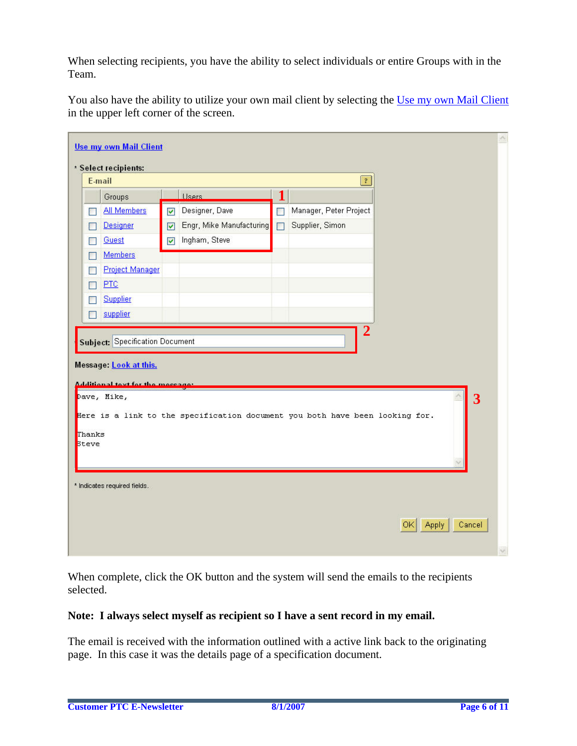When selecting recipients, you have the ability to select individuals or entire Groups with in the Team.

You also have the ability to utilize your own mail client by selecting the Use my own Mail Client in the upper left corner of the screen.

|                 | <b>Use my own Mail Client</b>                                                              |                      |                                                                              |        |                        |                              | $\sim$       |
|-----------------|--------------------------------------------------------------------------------------------|----------------------|------------------------------------------------------------------------------|--------|------------------------|------------------------------|--------------|
|                 | * Select recipients:                                                                       |                      |                                                                              |        |                        |                              |              |
|                 | E-mail                                                                                     |                      |                                                                              |        | $\mathbb{R}$           |                              |              |
|                 | Groups                                                                                     |                      | <b>Users</b>                                                                 | 1      |                        |                              |              |
|                 | All Members                                                                                | ☑                    | Designer, Dave                                                               | П      | Manager, Peter Project |                              |              |
|                 | Designer                                                                                   | ☑                    | Engr, Mike Manufacturing                                                     | $\Box$ | Supplier, Simon        |                              |              |
|                 | Guest                                                                                      | $\blacktriangledown$ | Ingham, Steve                                                                |        |                        |                              |              |
|                 | <b>Members</b>                                                                             |                      |                                                                              |        |                        |                              |              |
|                 | <b>Project Manager</b>                                                                     |                      |                                                                              |        |                        |                              |              |
|                 | PTC                                                                                        |                      |                                                                              |        |                        |                              |              |
|                 | Supplier                                                                                   |                      |                                                                              |        |                        |                              |              |
|                 | supplier                                                                                   |                      |                                                                              |        |                        |                              |              |
|                 | Subject: Specification Document<br>Message: Look at this.<br>Additional tout for the mores |                      |                                                                              |        | $\overline{2}$         |                              |              |
| Thanks<br>Steve | Dave, Mike,                                                                                |                      | Here is a link to the specification document you both have been looking for. |        |                        | 3                            |              |
|                 | * Indicates required fields.                                                               |                      |                                                                              |        |                        | <b>Apply</b><br>Cancel<br>OK | $\checkmark$ |

When complete, click the OK button and the system will send the emails to the recipients selected.

### **Note: I always select myself as recipient so I have a sent record in my email.**

The email is received with the information outlined with a active link back to the originating page. In this case it was the details page of a specification document.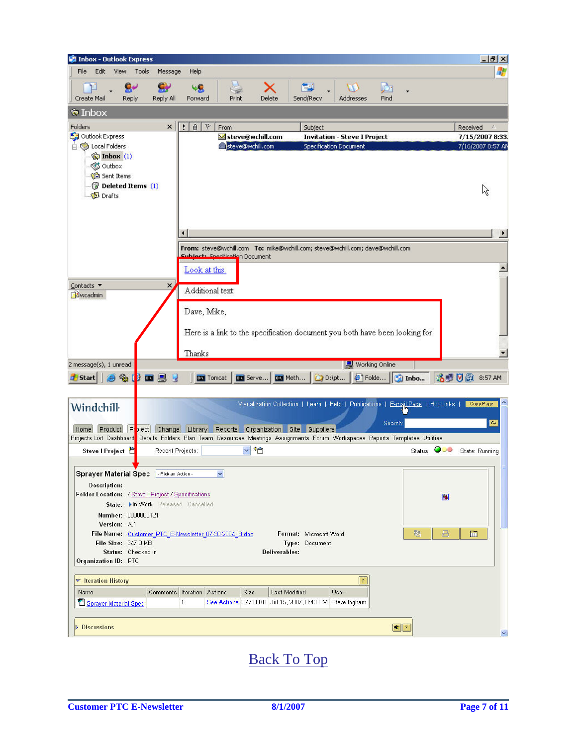| <b>M</b> Inbox - Outlook Express                      |                                                                                                                                                                           | $  \mathbb{F}$ $\times$    |
|-------------------------------------------------------|---------------------------------------------------------------------------------------------------------------------------------------------------------------------------|----------------------------|
| Edit<br>View<br>Tools<br><b>File</b><br>Message       | Help                                                                                                                                                                      | R,                         |
| پهٍ<br>g,                                             | IÒ.<br>にいし こうしゃ こうしゃ こうしゃ こうしゃ こうしゃ こうしゃ こうしゃ<br>48<br>W                                                                                                                  |                            |
| Create Mail<br>Reply<br>Reply All<br>$\bullet$ Inbox  | Delete<br>Send/Recv<br><b>Addresses</b><br>Find<br>Forward<br>Print                                                                                                       |                            |
| Folders                                               |                                                                                                                                                                           |                            |
| ×<br>State Outlook Express                            | $\heartsuit$<br>$\theta$<br>t<br>From<br>Subject<br>Steve@wchill.com<br><b>Invitation - Steve I Project</b>                                                               | Received<br>7/15/2007 8:33 |
| 白 Cocal Folders                                       | steve@wchill.com<br><b>Specification Document</b>                                                                                                                         | 7/16/2007 8:57 AM          |
| $\bigcirc$ Inbox (1)                                  |                                                                                                                                                                           |                            |
| outbox                                                |                                                                                                                                                                           |                            |
| Sent Items<br>Deleted Items (1)                       |                                                                                                                                                                           |                            |
| <b>Drafts</b>                                         |                                                                                                                                                                           | K                          |
|                                                       |                                                                                                                                                                           |                            |
|                                                       |                                                                                                                                                                           |                            |
|                                                       | $\left  \cdot \right $                                                                                                                                                    | ▸                          |
|                                                       | From: steve@wchill.com To: mike@wchill.com; steve@wchill.com; dave@wchill.com                                                                                             |                            |
|                                                       | <b>Cubiect: Specification Document</b>                                                                                                                                    |                            |
|                                                       | Look at this.                                                                                                                                                             | $\blacktriangle$           |
| ⊆ontacts<br>×,                                        | Additional text:                                                                                                                                                          |                            |
| <b>E</b> wcadmin                                      |                                                                                                                                                                           |                            |
|                                                       | Dave, Mike,                                                                                                                                                               |                            |
|                                                       | Here is a link to the specification document you both have been looking for.                                                                                              |                            |
|                                                       | Thanks                                                                                                                                                                    |                            |
| 2 message(s), 1 unread                                | <b>图</b> Working Online                                                                                                                                                   |                            |
| ■县<br>$\Theta$<br>Start<br>И                          | D:\pt<br><sup>2</sup> Folde<br>Inbo<br><b>BN</b> Tomcat<br>GN Serve<br><b>BY</b> Meth                                                                                     | 3 ■ 3:57 AM                |
|                                                       |                                                                                                                                                                           |                            |
| Windchill                                             | Visualization Collection   Learn   Help   Publications   E-mail Page   Hot Links                                                                                          | Copy Page                  |
|                                                       | Search:                                                                                                                                                                   | Go                         |
|                                                       | Home Product Project Change Library Reports Organization Site Suppliers                                                                                                   |                            |
| Recent Projects:<br>Steve   Project                   | Projects List Dashboard Details Folders Plan Team Resources Meetings Assignments Forum Workspaces Reports Templates Utilities<br>Status: <b>ODO</b><br>$\checkmark$<br>*0 | State: Running             |
|                                                       |                                                                                                                                                                           |                            |
| Sprayer Material Spec Fick an Action -                | ×                                                                                                                                                                         |                            |
| <b>Description:</b>                                   |                                                                                                                                                                           |                            |
| Folder Location: / Steve   Project / Specifications   |                                                                                                                                                                           | B)                         |
| State: In Work Released Cancelled                     |                                                                                                                                                                           |                            |
| Number: 0000000121<br>Version: A.1                    |                                                                                                                                                                           |                            |
| File Name: Customer PTC E-Newsletter 07-30-2004 B.doc | 戰<br>Format: Microsoft Word                                                                                                                                               | 昌<br>m                     |
| File Size: 347.0 KB                                   | Type: Document                                                                                                                                                            |                            |
| Status: Checked in<br><b>Organization ID: PTC</b>     | <b>Deliverables:</b>                                                                                                                                                      |                            |
|                                                       |                                                                                                                                                                           |                            |
|                                                       |                                                                                                                                                                           |                            |
| <b>▽ Iteration History</b>                            | $\overline{\mathcal{E}}$                                                                                                                                                  |                            |
| Name                                                  | Comments   Iteration   Actions<br><b>Size</b><br>User<br>Last Modified                                                                                                    |                            |
| Sprayer Material Spec                                 | See Actions 347.0 KB Jul 15, 2007, 8:43 PM Steve Ingham<br>$\mathbf{1}$                                                                                                   |                            |
| <b>Discussions</b>                                    | $ST$ ?                                                                                                                                                                    |                            |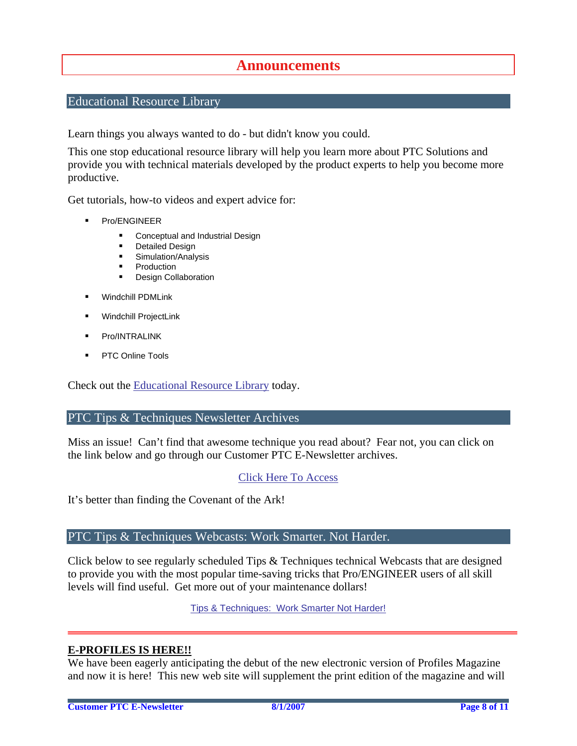### **Announcements**

### <span id="page-7-0"></span>Educational Resource Library

Learn things you always wanted to do - but didn't know you could.

This one stop educational resource library will help you learn more about PTC Solutions and provide you with technical materials developed by the product experts to help you become more productive.

Get tutorials, how-to videos and expert advice for:

- **Pro/ENGINEER** 
	- **EXECONCEPT** Conceptual and Industrial Design
	- **•** Detailed Design
	- **Simulation/Analysis**
	- Production
	- Design Collaboration
- Windchill PDMLink
- Windchill ProjectLink
- Pro/INTRALINK
- PTC Online Tools

Check out the [Educational Resource Library](http://www.ptc.com/community/proewf/newtools/tutorials.htm) today.

#### PTC Tips & Techniques Newsletter Archives

Miss an issue! Can't find that awesome technique you read about? Fear not, you can click on the link below and go through our Customer PTC E-Newsletter archives.

#### [Click Here To Access](http://www.ptc.com/carezone/archive/index.htm)

It's better than finding the Covenant of the Ark!

#### PTC Tips & Techniques Webcasts: Work Smarter. Not Harder.

Click below to see regularly scheduled Tips & Techniques technical Webcasts that are designed to provide you with the most popular time-saving tricks that Pro/ENGINEER users of all skill levels will find useful. Get more out of your maintenance dollars!

Tips & Techniques: Work Smarter Not Harder!

#### **E-PROFILES IS HERE!!**

We have been eagerly anticipating the debut of the new electronic version of Profiles Magazine and now it is here! This new web site will supplement the print edition of the magazine and will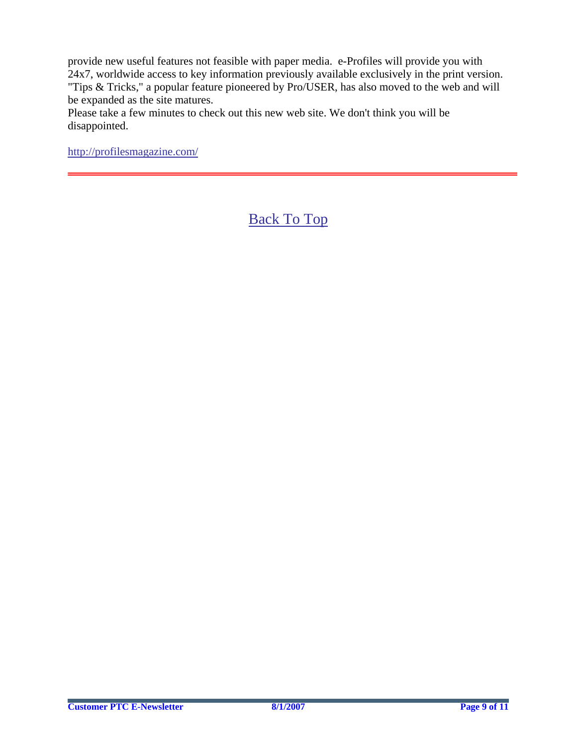provide new useful features not feasible with paper media. e-Profiles will provide you with 24x7, worldwide access to key information previously available exclusively in the print version. "Tips & Tricks," a popular feature pioneered by Pro/USER, has also moved to the web and will be expanded as the site matures.

Please take a few minutes to check out this new web site. We don't think you will be disappointed.

<http://profilesmagazine.com/>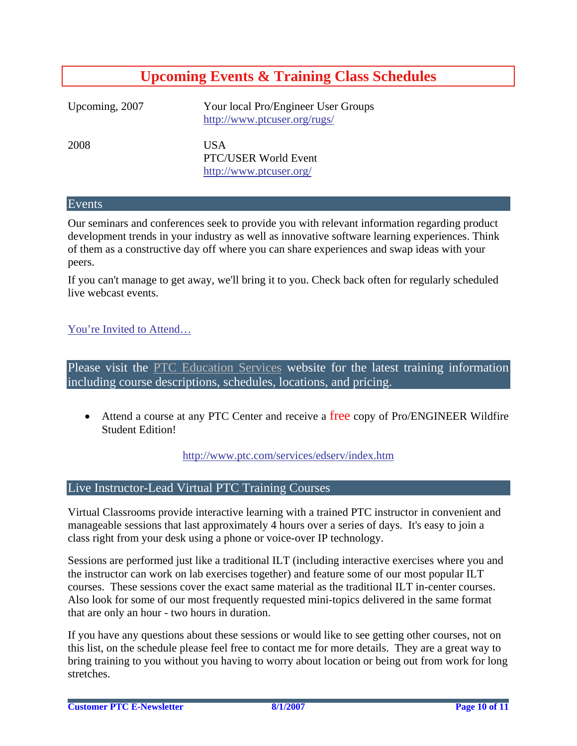## **Upcoming Events & Training Class Schedules**

<span id="page-9-0"></span>Upcoming, 2007 Your local Pro/Engineer User Groups http://www.ptcuser.org/rugs/

2008 USA PTC/USER World Event <http://www.ptcuser.org/>

#### Events

Our seminars and conferences seek to provide you with relevant information regarding product development trends in your industry as well as innovative software learning experiences. Think of them as a constructive day off where you can share experiences and swap ideas with your peers.

If you can't manage to get away, we'll bring it to you. Check back often for regularly scheduled live webcast events.

### [You're Invited to Attend…](http://www.ptc.com/company/news/events/index.htm)

Please visit the [PTC Education Services](http://www.ptc.com/services/edserv/) website for the latest training information including course descriptions, schedules, locations, and pricing.

• Attend a course at any PTC Center and receive a free copy of Pro/ENGINEER Wildfire Student Edition!

<http://www.ptc.com/services/edserv/index.htm>

#### Live Instructor-Lead Virtual PTC Training Courses

Virtual Classrooms provide interactive learning with a trained PTC instructor in convenient and manageable sessions that last approximately 4 hours over a series of days. It's easy to join a class right from your desk using a phone or voice-over IP technology.

Sessions are performed just like a traditional ILT (including interactive exercises where you and the instructor can work on lab exercises together) and feature some of our most popular ILT courses. These sessions cover the exact same material as the traditional ILT in-center courses. Also look for some of our most frequently requested mini-topics delivered in the same format that are only an hour - two hours in duration.

If you have any questions about these sessions or would like to see getting other courses, not on this list, on the schedule please feel free to contact me for more details. They are a great way to bring training to you without you having to worry about location or being out from work for long stretches.